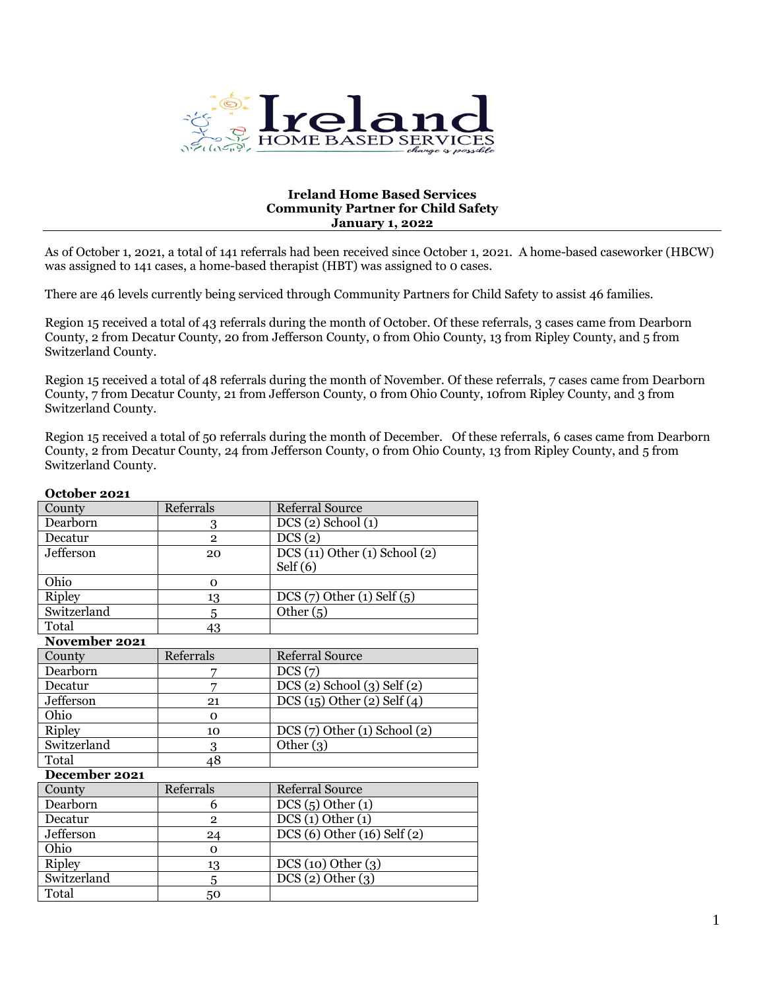

## **Ireland Home Based Services Community Partner for Child Safety January 1, 2022**

As of October 1, 2021, a total of 141 referrals had been received since October 1, 2021. A home-based caseworker (HBCW) was assigned to 141 cases, a home-based therapist (HBT) was assigned to 0 cases.

There are 46 levels currently being serviced through Community Partners for Child Safety to assist 46 families.

Region 15 received a total of 43 referrals during the month of October. Of these referrals, 3 cases came from Dearborn County, 2 from Decatur County, 20 from Jefferson County, 0 from Ohio County, 13 from Ripley County, and 5 from Switzerland County.

Region 15 received a total of 48 referrals during the month of November. Of these referrals, 7 cases came from Dearborn County, 7 from Decatur County, 21 from Jefferson County, 0 from Ohio County, 10from Ripley County, and 3 from Switzerland County.

Region 15 received a total of 50 referrals during the month of December. Of these referrals, 6 cases came from Dearborn County, 2 from Decatur County, 24 from Jefferson County, 0 from Ohio County, 13 from Ripley County, and 5 from Switzerland County.

| OLLUDLI EUEI  |                |                               |  |  |
|---------------|----------------|-------------------------------|--|--|
| County        | Referrals      | <b>Referral Source</b>        |  |  |
| Dearborn      | 3              | $DCS(2)$ School $(1)$         |  |  |
| Decatur       | $\overline{2}$ | $\overline{\text{DCS}}(2)$    |  |  |
| Jefferson     | 20             | DCS(11) Other(1) School(2)    |  |  |
|               |                | Self $(6)$                    |  |  |
| Ohio          | $\Omega$       |                               |  |  |
| <b>Ripley</b> | 13             | $DCS(7)$ Other (1) Self (5)   |  |  |
| Switzerland   | 5              | Other $(5)$                   |  |  |
| Total         | 43             |                               |  |  |
| November 2021 |                |                               |  |  |
| County        | Referrals      | <b>Referral Source</b>        |  |  |
| Dearborn      | 7              | DCS(7)                        |  |  |
| Decatur       | 7              | DCS (2) School (3) Self (2)   |  |  |
| Jefferson     | 21             | DCS(15) Other(2) Self(4)      |  |  |
| Ohio          | $\Omega$       |                               |  |  |
| Ripley        | 10             | $DCS(7)$ Other (1) School (2) |  |  |
| Switzerland   | 3              | Other $(3)$                   |  |  |
| Total         | 48             |                               |  |  |
| December 2021 |                |                               |  |  |
| County        | Referrals      | <b>Referral Source</b>        |  |  |
| Dearborn      | 6              | DCS(5) Other(1)               |  |  |
| Decatur       | $\overline{2}$ | DCS(1) Other(1)               |  |  |
| Jefferson     | 24             | DCS (6) Other (16) Self (2)   |  |  |
| Ohio          | $\Omega$       |                               |  |  |
| <b>Ripley</b> | 13             | DCS(10) Other(3)              |  |  |
| Switzerland   | 5              | DCS(2) Other(3)               |  |  |
| Total         | 50             |                               |  |  |
|               |                |                               |  |  |

## **October 2021**